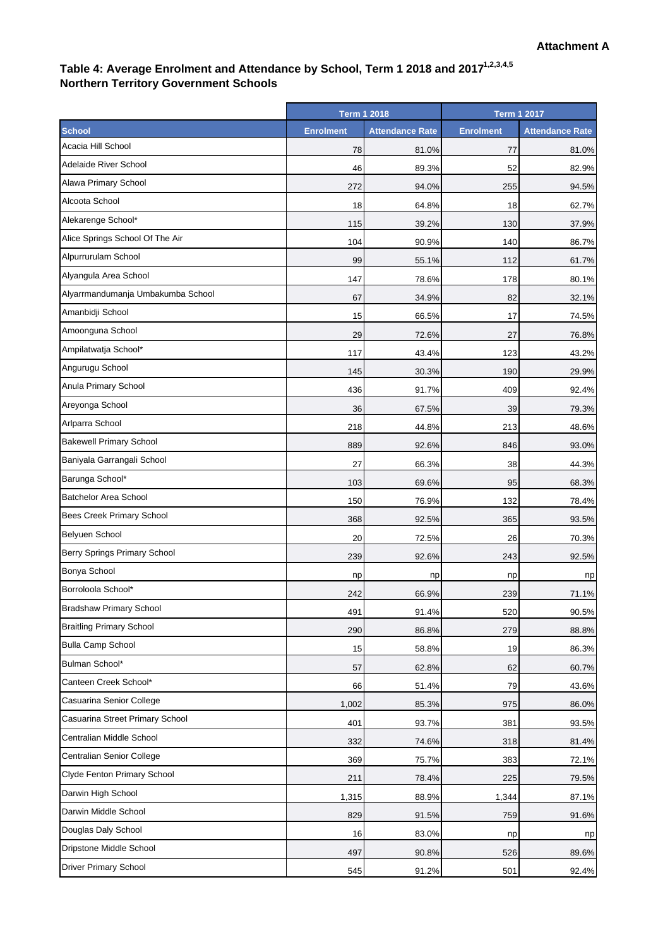## Table 4: Average Enrolment and Attendance by School, Term 1 2018 and 2017<sup>1,2,3,4,5</sup> **Northern Territory Government Schools**

|                                   | <b>Term 1 2018</b> |                        | <b>Term 1 2017</b> |                        |
|-----------------------------------|--------------------|------------------------|--------------------|------------------------|
| <b>School</b>                     | <b>Enrolment</b>   | <b>Attendance Rate</b> | <b>Enrolment</b>   | <b>Attendance Rate</b> |
| Acacia Hill School                | 78                 | 81.0%                  | 77                 | 81.0%                  |
| <b>Adelaide River School</b>      | 46                 | 89.3%                  | 52                 | 82.9%                  |
| Alawa Primary School              | 272                | 94.0%                  | 255                | 94.5%                  |
| Alcoota School                    | 18                 | 64.8%                  | 18                 | 62.7%                  |
| Alekarenge School*                | 115                | 39.2%                  | 130                | 37.9%                  |
| Alice Springs School Of The Air   | 104                | 90.9%                  | 140                | 86.7%                  |
| Alpurrurulam School               | 99                 | 55.1%                  | 112                | 61.7%                  |
| Alyangula Area School             | 147                | 78.6%                  | 178                | 80.1%                  |
| Alyarrmandumanja Umbakumba School | 67                 | 34.9%                  | 82                 | 32.1%                  |
| Amanbidji School                  | 15                 | 66.5%                  | 17                 | 74.5%                  |
| Amoonguna School                  | 29                 | 72.6%                  | 27                 | 76.8%                  |
| Ampilatwatja School*              | 117                | 43.4%                  | 123                | 43.2%                  |
| Angurugu School                   | 145                | 30.3%                  | 190                | 29.9%                  |
| Anula Primary School              | 436                | 91.7%                  | 409                | 92.4%                  |
| Areyonga School                   | 36                 | 67.5%                  | 39                 | 79.3%                  |
| Arlparra School                   | 218                | 44.8%                  | 213                | 48.6%                  |
| <b>Bakewell Primary School</b>    | 889                | 92.6%                  | 846                | 93.0%                  |
| Baniyala Garrangali School        | 27                 | 66.3%                  | 38                 | 44.3%                  |
| Barunga School*                   | 103                | 69.6%                  | 95                 | 68.3%                  |
| <b>Batchelor Area School</b>      | 150                | 76.9%                  | 132                | 78.4%                  |
| Bees Creek Primary School         | 368                | 92.5%                  | 365                | 93.5%                  |
| Belyuen School                    | 20                 | 72.5%                  | 26                 | 70.3%                  |
| Berry Springs Primary School      | 239                | 92.6%                  | 243                | 92.5%                  |
| Bonya School                      | np                 | np                     | np                 | np                     |
| Borroloola School*                | 242                | 66.9%                  | 239                | 71.1%                  |
| <b>Bradshaw Primary School</b>    | 491                | 91.4%                  | 520                | 90.5%                  |
| <b>Braitling Primary School</b>   | 290                | 86.8%                  | 279                | 88.8%                  |
| <b>Bulla Camp School</b>          | 15                 | 58.8%                  | 19                 | 86.3%                  |
| Bulman School*                    | 57                 | 62.8%                  | 62                 | 60.7%                  |
| Canteen Creek School*             | 66                 | 51.4%                  | 79                 | 43.6%                  |
| Casuarina Senior College          | 1,002              | 85.3%                  | 975                | 86.0%                  |
| Casuarina Street Primary School   | 401                | 93.7%                  | 381                | 93.5%                  |
| Centralian Middle School          | 332                | 74.6%                  | 318                | 81.4%                  |
| Centralian Senior College         | 369                | 75.7%                  | 383                | 72.1%                  |
| Clyde Fenton Primary School       | 211                | 78.4%                  | 225                | 79.5%                  |
| Darwin High School                | 1,315              | 88.9%                  | 1,344              | 87.1%                  |
| Darwin Middle School              | 829                | 91.5%                  | 759                | 91.6%                  |
| Douglas Daly School               | 16                 | 83.0%                  | np                 | np                     |
| Dripstone Middle School           | 497                | 90.8%                  | 526                | 89.6%                  |
| <b>Driver Primary School</b>      | 545                | 91.2%                  | 501                | 92.4%                  |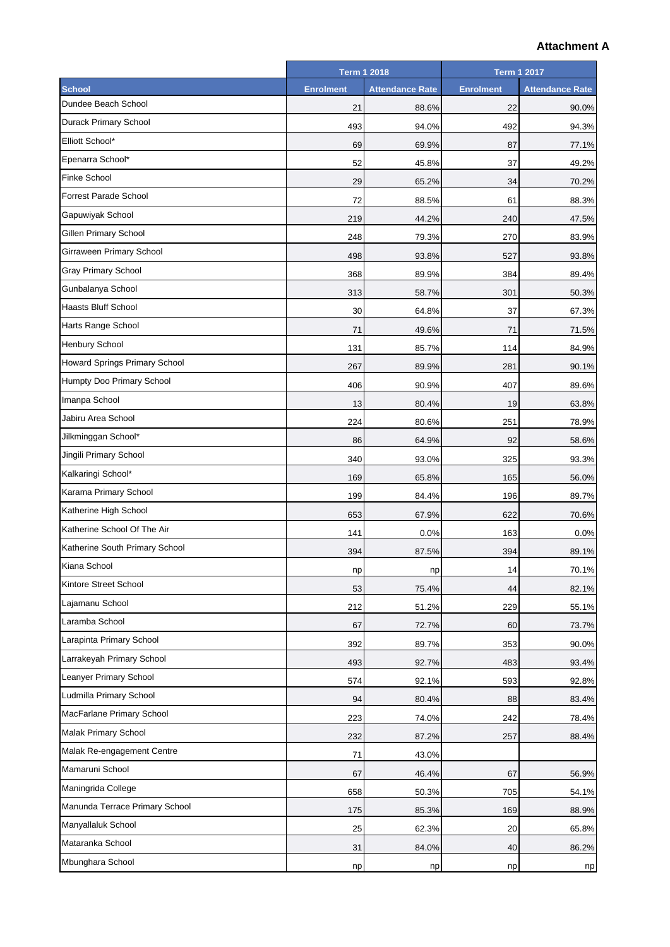## **Attachment A**

|                                | <b>Term 1 2018</b> |                        | <b>Term 1 2017</b> |                        |
|--------------------------------|--------------------|------------------------|--------------------|------------------------|
| <b>School</b>                  | <b>Enrolment</b>   | <b>Attendance Rate</b> | <b>Enrolment</b>   | <b>Attendance Rate</b> |
| Dundee Beach School            | 21                 | 88.6%                  | 22                 | 90.0%                  |
| <b>Durack Primary School</b>   | 493                | 94.0%                  | 492                | 94.3%                  |
| Elliott School*                | 69                 | 69.9%                  | 87                 | 77.1%                  |
| Epenarra School*               | 52                 | 45.8%                  | 37                 | 49.2%                  |
| <b>Finke School</b>            | 29                 | 65.2%                  | 34                 | 70.2%                  |
| <b>Forrest Parade School</b>   | 72                 | 88.5%                  | 61                 | 88.3%                  |
| Gapuwiyak School               | 219                | 44.2%                  | 240                | 47.5%                  |
| Gillen Primary School          | 248                | 79.3%                  | 270                | 83.9%                  |
| Girraween Primary School       | 498                | 93.8%                  | 527                | 93.8%                  |
| <b>Gray Primary School</b>     | 368                | 89.9%                  | 384                | 89.4%                  |
| Gunbalanya School              | 313                | 58.7%                  | 301                | 50.3%                  |
| <b>Haasts Bluff School</b>     | 30                 | 64.8%                  | 37                 | 67.3%                  |
| Harts Range School             | 71                 | 49.6%                  | 71                 | 71.5%                  |
| Henbury School                 | 131                | 85.7%                  | 114                | 84.9%                  |
| Howard Springs Primary School  | 267                | 89.9%                  | 281                | 90.1%                  |
| Humpty Doo Primary School      | 406                | 90.9%                  | 407                | 89.6%                  |
| Imanpa School                  | 13                 | 80.4%                  | 19                 | 63.8%                  |
| Jabiru Area School             | 224                | 80.6%                  | 251                | 78.9%                  |
| Jilkminggan School*            | 86                 | 64.9%                  | 92                 | 58.6%                  |
| Jingili Primary School         | 340                | 93.0%                  | 325                | 93.3%                  |
| Kalkaringi School*             | 169                | 65.8%                  | 165                | 56.0%                  |
| Karama Primary School          | 199                | 84.4%                  | 196                | 89.7%                  |
| Katherine High School          | 653                | 67.9%                  | 622                | 70.6%                  |
| Katherine School Of The Air    | 141                | 0.0%                   | 163                | 0.0%                   |
| Katherine South Primary School | 394                | 87.5%                  | 394                | 89.1%                  |
| Kiana School                   | np                 | np                     | 14                 | 70.1%                  |
| Kintore Street School          | 53                 | 75.4%                  | 44                 | 82.1%                  |
| Lajamanu School                | 212                | 51.2%                  | 229                | 55.1%                  |
| Laramba School                 | 67                 | 72.7%                  | 60                 | 73.7%                  |
| Larapinta Primary School       | 392                | 89.7%                  | 353                | 90.0%                  |
| Larrakeyah Primary School      | 493                | 92.7%                  | 483                | 93.4%                  |
| Leanyer Primary School         | 574                | 92.1%                  | 593                | 92.8%                  |
| Ludmilla Primary School        | 94                 | 80.4%                  | 88                 | 83.4%                  |
| MacFarlane Primary School      | 223                | 74.0%                  | 242                | 78.4%                  |
| <b>Malak Primary School</b>    | 232                | 87.2%                  | 257                | 88.4%                  |
| Malak Re-engagement Centre     | 71                 | 43.0%                  |                    |                        |
| Mamaruni School                | 67                 | 46.4%                  | 67                 | 56.9%                  |
| Maningrida College             | 658                | 50.3%                  | 705                | 54.1%                  |
| Manunda Terrace Primary School | 175                | 85.3%                  | 169                | 88.9%                  |
| Manyallaluk School             | 25                 | 62.3%                  | 20                 | 65.8%                  |
| Mataranka School               | 31                 | 84.0%                  | 40                 | 86.2%                  |
| Mbunghara School               |                    |                        |                    |                        |
|                                | np                 | np                     | np                 | np                     |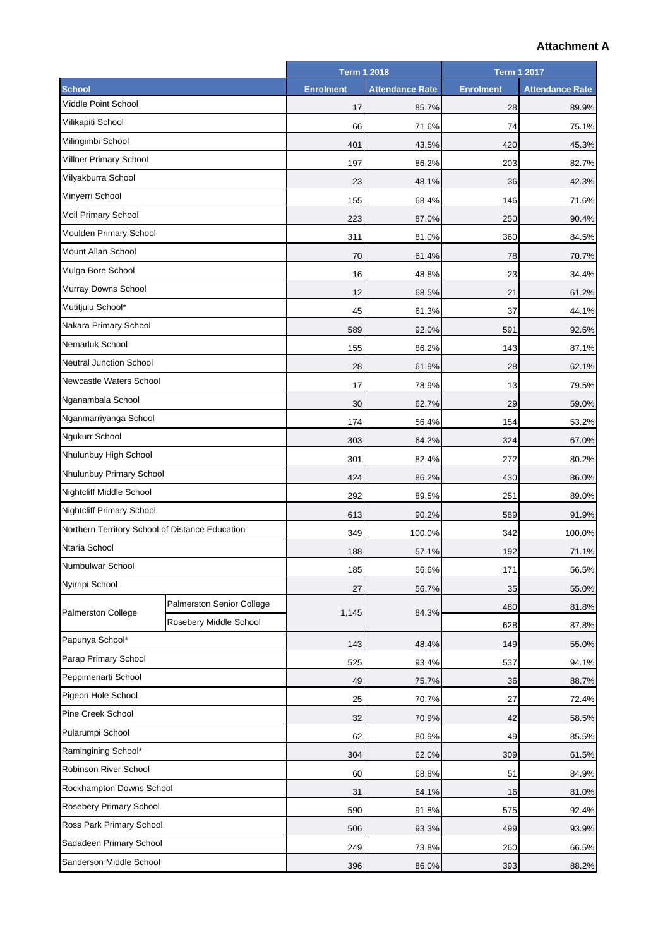## **Attachment A**

|                                                 |                           | <b>Term 1 2018</b> |                        | <b>Term 1 2017</b> |                        |
|-------------------------------------------------|---------------------------|--------------------|------------------------|--------------------|------------------------|
| <b>School</b>                                   |                           | <b>Enrolment</b>   | <b>Attendance Rate</b> | <b>Enrolment</b>   | <b>Attendance Rate</b> |
| Middle Point School                             |                           | 17                 | 85.7%                  | 28                 | 89.9%                  |
| Milikapiti School                               |                           | 66                 | 71.6%                  | 74                 | 75.1%                  |
| Milingimbi School                               |                           | 401                | 43.5%                  | 420                | 45.3%                  |
| Millner Primary School                          |                           | 197                | 86.2%                  | 203                | 82.7%                  |
| Milyakburra School                              |                           | 23                 | 48.1%                  | 36                 | 42.3%                  |
| Minyerri School                                 |                           | 155                | 68.4%                  | 146                | 71.6%                  |
| Moil Primary School                             |                           | 223                | 87.0%                  | 250                | 90.4%                  |
| Moulden Primary School                          |                           | 311                | 81.0%                  | 360                | 84.5%                  |
| Mount Allan School                              |                           | 70                 | 61.4%                  | 78                 | 70.7%                  |
| Mulga Bore School                               |                           | 16                 | 48.8%                  | 23                 | 34.4%                  |
| Murray Downs School                             |                           | 12                 | 68.5%                  | 21                 | 61.2%                  |
| Mutitjulu School*                               |                           | 45                 | 61.3%                  | 37                 | 44.1%                  |
| Nakara Primary School                           |                           | 589                | 92.0%                  | 591                | 92.6%                  |
| Nemarluk School                                 |                           | 155                | 86.2%                  | 143                | 87.1%                  |
| <b>Neutral Junction School</b>                  |                           | 28                 | 61.9%                  | 28                 | 62.1%                  |
| Newcastle Waters School                         |                           | 17                 | 78.9%                  | 13                 | 79.5%                  |
| Nganambala School                               |                           | 30                 | 62.7%                  | 29                 | 59.0%                  |
| Nganmarriyanga School                           |                           | 174                | 56.4%                  | 154                | 53.2%                  |
| Ngukurr School                                  |                           | 303                | 64.2%                  | 324                | 67.0%                  |
| Nhulunbuy High School                           |                           | 301                | 82.4%                  | 272                | 80.2%                  |
| Nhulunbuy Primary School                        |                           | 424                | 86.2%                  | 430                | 86.0%                  |
| Nightcliff Middle School                        |                           | 292                | 89.5%                  | 251                | 89.0%                  |
| <b>Nightcliff Primary School</b>                |                           | 613                | 90.2%                  | 589                | 91.9%                  |
| Northern Territory School of Distance Education |                           | 349                | 100.0%                 | 342                | 100.0%                 |
| Ntaria School                                   |                           | 188                | 57.1%                  | 192                | 71.1%                  |
| Numbulwar School                                |                           | 185                | 56.6%                  | 171                | 56.5%                  |
| Nyirripi School                                 |                           | 27                 | 56.7%                  | 35                 | 55.0%                  |
|                                                 | Palmerston Senior College |                    | 480                    | 81.8%              |                        |
| Palmerston College                              | Rosebery Middle School    |                    | 1,145<br>84.3%         | 628                | 87.8%                  |
| Papunya School*                                 |                           | 143                | 48.4%                  | 149                | 55.0%                  |
| Parap Primary School                            |                           | 525                | 93.4%                  | 537                | 94.1%                  |
| Peppimenarti School                             |                           | 49                 | 75.7%                  | 36                 | 88.7%                  |
| Pigeon Hole School                              |                           | 25                 | 70.7%                  | 27                 | 72.4%                  |
| Pine Creek School                               |                           | 32                 | 70.9%                  | 42                 | 58.5%                  |
| Pularumpi School                                |                           | 62                 | 80.9%                  | 49                 | 85.5%                  |
| Ramingining School*                             |                           | 304                | 62.0%                  | 309                | 61.5%                  |
| Robinson River School                           |                           | 60                 | 68.8%                  | 51                 | 84.9%                  |
| Rockhampton Downs School                        |                           | 31                 | 64.1%                  | 16                 | 81.0%                  |
| Rosebery Primary School                         |                           | 590                | 91.8%                  | 575                | 92.4%                  |
| Ross Park Primary School                        |                           | 506                | 93.3%                  | 499                | 93.9%                  |
| Sadadeen Primary School                         |                           |                    |                        |                    |                        |
| Sanderson Middle School                         |                           | 249                | 73.8%                  | 260                | 66.5%                  |
|                                                 |                           | 396                | 86.0%                  | 393                | 88.2%                  |